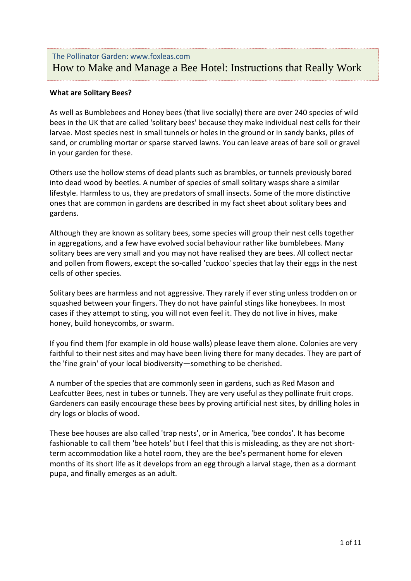# The Pollinator Garden: www.foxleas.com How to Make and Manage a Bee Hotel: Instructions that Really Work

# **What are Solitary Bees?**

As well as Bumblebees and Honey bees (that live socially) there are over 240 species of wild bees in the UK that are called 'solitary bees' because they make individual nest cells for their larvae. Most species nest in small tunnels or holes in the ground or in sandy banks, piles of sand, or crumbling mortar or sparse starved lawns. You can leave areas of bare soil or gravel in your garden for these.

Others use the hollow stems of dead plants such as brambles, or tunnels previously bored into dead wood by beetles. A number of species of small solitary wasps share a similar lifestyle. Harmless to us, they are predators of small insects. Some of the more distinctive ones that are common in gardens are described in my fact sheet about solitary bees and gardens.

Although they are known as solitary bees, some species will group their nest cells together in aggregations, and a few have evolved social behaviour rather like bumblebees. Many solitary bees are very small and you may not have realised they are bees. All collect nectar and pollen from flowers, except the so-called 'cuckoo' species that lay their eggs in the nest cells of other species.

Solitary bees are harmless and not aggressive. They rarely if ever sting unless trodden on or squashed between your fingers. They do not have painful stings like honeybees. In most cases if they attempt to sting, you will not even feel it. They do not live in hives, make honey, build honeycombs, or swarm.

If you find them (for example in old house walls) please leave them alone. Colonies are very faithful to their nest sites and may have been living there for many decades. They are part of the 'fine grain' of your local biodiversity—something to be cherished.

A number of the species that are commonly seen in gardens, such as Red Mason and Leafcutter Bees, nest in tubes or tunnels. They are very useful as they pollinate fruit crops. Gardeners can easily encourage these bees by proving artificial nest sites, by drilling holes in dry logs or blocks of wood.

These bee houses are also called 'trap nests', or in America, 'bee condos'. It has become fashionable to call them 'bee hotels' but I feel that this is misleading, as they are not shortterm accommodation like a hotel room, they are the bee's permanent home for eleven months of its short life as it develops from an egg through a larval stage, then as a dormant pupa, and finally emerges as an adult.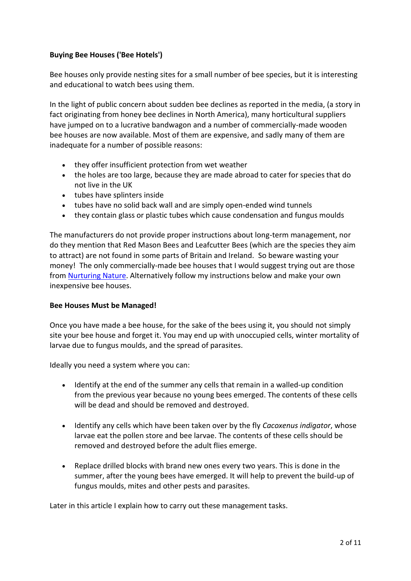# **Buying Bee Houses ('Bee Hotels')**

Bee houses only provide nesting sites for a small number of bee species, but it is interesting and educational to watch bees using them.

In the light of public concern about sudden bee declines as reported in the media, (a story in fact originating from honey bee declines in North America), many horticultural suppliers have jumped on to a lucrative bandwagon and a number of commercially-made wooden bee houses are now available. Most of them are expensive, and sadly many of them are inadequate for a number of possible reasons:

- they offer insufficient protection from wet weather
- the holes are too large, because they are made abroad to cater for species that do not live in the UK
- tubes have splinters inside
- tubes have no solid back wall and are simply open-ended wind tunnels
- they contain glass or plastic tubes which cause condensation and fungus moulds

The manufacturers do not provide proper instructions about long-term management, nor do they mention that Red Mason Bees and Leafcutter Bees (which are the species they aim to attract) are not found in some parts of Britain and Ireland. So beware wasting your money! The only commercially-made bee houses that I would suggest trying out are those from [Nurturing Nature.](http://nurturing-nature.co.uk/wild-bee-nesting-box/) Alternatively follow my instructions below and make your own inexpensive bee houses.

# **Bee Houses Must be Managed!**

Once you have made a bee house, for the sake of the bees using it, you should not simply site your bee house and forget it. You may end up with unoccupied cells, winter mortality of larvae due to fungus moulds, and the spread of parasites.

Ideally you need a system where you can:

- Identify at the end of the summer any cells that remain in a walled-up condition from the previous year because no young bees emerged. The contents of these cells will be dead and should be removed and destroyed.
- Identify any cells which have been taken over by the fly *Cacoxenus indigator*, whose larvae eat the pollen store and bee larvae. The contents of these cells should be removed and destroyed before the adult flies emerge.
- Replace drilled blocks with brand new ones every two years. This is done in the summer, after the young bees have emerged. It will help to prevent the build-up of fungus moulds, mites and other pests and parasites.

Later in this article I explain how to carry out these management tasks.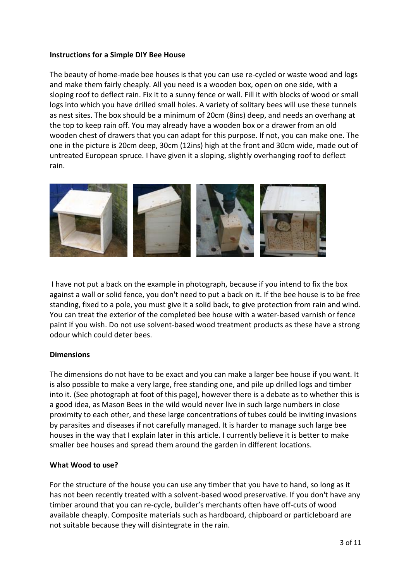# **Instructions for a Simple DIY Bee House**

The beauty of home-made bee houses is that you can use re-cycled or waste wood and logs and make them fairly cheaply. All you need is a wooden box, open on one side, with a sloping roof to deflect rain. Fix it to a sunny fence or wall. Fill it with blocks of wood or small logs into which you have drilled small holes. A variety of solitary bees will use these tunnels as nest sites. The box should be a minimum of 20cm (8ins) deep, and needs an overhang at the top to keep rain off. You may already have a wooden box or a drawer from an old wooden chest of drawers that you can adapt for this purpose. If not, you can make one. The one in the picture is 20cm deep, 30cm (12ins) high at the front and 30cm wide, made out of untreated European spruce. I have given it a sloping, slightly overhanging roof to deflect rain.



I have not put a back on the example in photograph, because if you intend to fix the box against a wall or solid fence, you don't need to put a back on it. If the bee house is to be free standing, fixed to a pole, you must give it a solid back, to give protection from rain and wind. You can treat the exterior of the completed bee house with a water-based varnish or fence paint if you wish. Do not use solvent-based wood treatment products as these have a strong odour which could deter bees.

# **Dimensions**

The dimensions do not have to be exact and you can make a larger bee house if you want. It is also possible to make a very large, free standing one, and pile up drilled logs and timber into it. (See photograph at foot of this page), however there is a debate as to whether this is a good idea, as Mason Bees in the wild would never live in such large numbers in close proximity to each other, and these large concentrations of tubes could be inviting invasions by parasites and diseases if not carefully managed. It is harder to manage such large bee houses in the way that I explain later in this article. I currently believe it is better to make smaller bee houses and spread them around the garden in different locations.

# **What Wood to use?**

For the structure of the house you can use any timber that you have to hand, so long as it has not been recently treated with a solvent-based wood preservative. If you don't have any timber around that you can re-cycle, builder's merchants often have off-cuts of wood available cheaply. Composite materials such as hardboard, chipboard or particleboard are not suitable because they will disintegrate in the rain.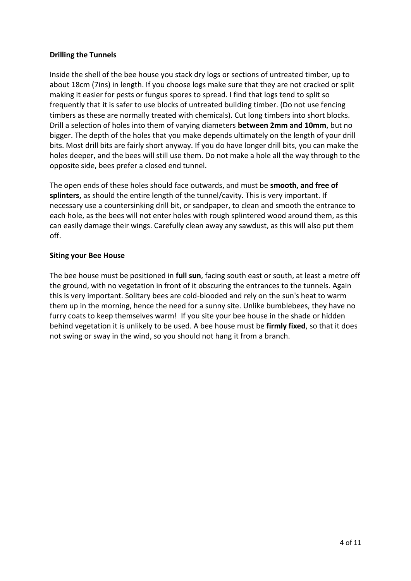# **Drilling the Tunnels**

Inside the shell of the bee house you stack dry logs or sections of untreated timber, up to about 18cm (7ins) in length. If you choose logs make sure that they are not cracked or split making it easier for pests or fungus spores to spread. I find that logs tend to split so frequently that it is safer to use blocks of untreated building timber. (Do not use fencing timbers as these are normally treated with chemicals). Cut long timbers into short blocks. Drill a selection of holes into them of varying diameters **between 2mm and 10mm**, but no bigger. The depth of the holes that you make depends ultimately on the length of your drill bits. Most drill bits are fairly short anyway. If you do have longer drill bits, you can make the holes deeper, and the bees will still use them. Do not make a hole all the way through to the opposite side, bees prefer a closed end tunnel.

The open ends of these holes should face outwards, and must be **smooth, and free of splinters,** as should the entire length of the tunnel/cavity. This is very important. If necessary use a countersinking drill bit, or sandpaper, to clean and smooth the entrance to each hole, as the bees will not enter holes with rough splintered wood around them, as this can easily damage their wings. Carefully clean away any sawdust, as this will also put them off.

# **Siting your Bee House**

The bee house must be positioned in **full sun**, facing south east or south, at least a metre off the ground, with no vegetation in front of it obscuring the entrances to the tunnels. Again this is very important. Solitary bees are cold-blooded and rely on the sun's heat to warm them up in the morning, hence the need for a sunny site. Unlike bumblebees, they have no furry coats to keep themselves warm! If you site your bee house in the shade or hidden behind vegetation it is unlikely to be used. A bee house must be **firmly fixed**, so that it does not swing or sway in the wind, so you should not hang it from a branch.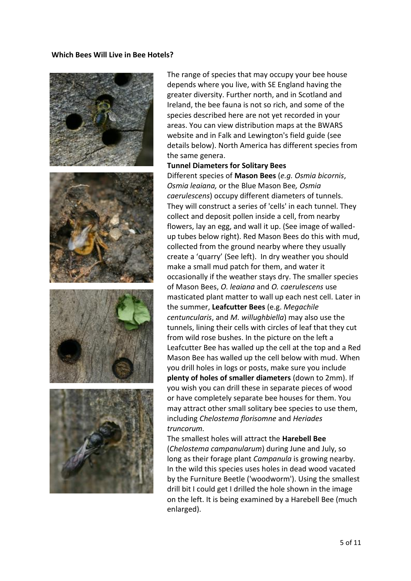#### **Which Bees Will Live in Bee Hotels?**



The range of species that may occupy your bee house depends where you live, with SE England having the greater diversity. Further north, and in Scotland and Ireland, the bee fauna is not so rich, and some of the species described here are not yet recorded in your areas. You can view distribution maps at the BWARS website and in Falk and Lewington's field guide (see details below). North America has different species from the same genera.

#### **Tunnel Diameters for Solitary Bees**

Different species of **Mason Bees** (*e.g. Osmia bicornis*, *Osmia leaiana,* or the Blue Mason Bee*, Osmia caerulescens*) occupy different diameters of tunnels. They will construct a series of 'cells' in each tunnel. They collect and deposit pollen inside a cell, from nearby flowers, lay an egg, and wall it up. (See image of walledup tubes below right). Red Mason Bees do this with mud, collected from the ground nearby where they usually create a 'quarry' (See left). In dry weather you should make a small mud patch for them, and water it occasionally if the weather stays dry. The smaller species of Mason Bees, *O. leaiana* and *O. caerulescens* use masticated plant matter to wall up each nest cell. Later in the summer, **Leafcutter Bees** (e.g. *Megachile centuncularis*, and *M. willughbiella*) may also use the tunnels, lining their cells with circles of leaf that they cut from wild rose bushes. In the picture on the left a Leafcutter Bee has walled up the cell at the top and a Red Mason Bee has walled up the cell below with mud. When you drill holes in logs or posts, make sure you include **plenty of holes of smaller diameters** (down to 2mm). If you wish you can drill these in separate pieces of wood or have completely separate bee houses for them. You may attract other small solitary bee species to use them, including *Chelostema florisomne* and *Heriades truncorum.*

The smallest holes will attract the **Harebell Bee**  (*Chelostema campanularum*) during June and July, so long as their forage plant *Campanula* is growing nearby. In the wild this species uses holes in dead wood vacated by the Furniture Beetle ('woodworm'). Using the smallest drill bit I could get I drilled the hole shown in the image on the left. It is being examined by a Harebell Bee (much enlarged).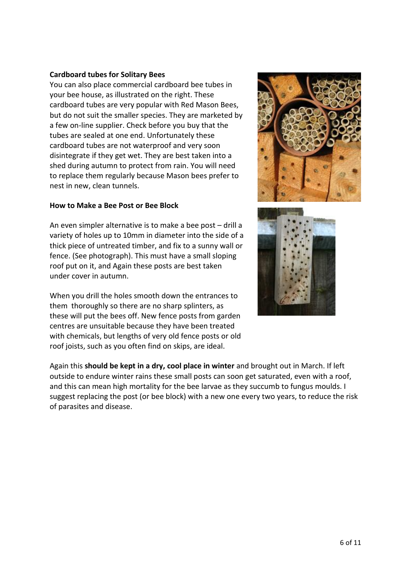# **Cardboard tubes for Solitary Bees**

You can also place commercial cardboard bee tubes in your bee house, as illustrated on the right. These cardboard tubes are very popular with Red Mason Bees, but do not suit the smaller species. They are marketed by a few on-line supplier. Check before you buy that the tubes are sealed at one end. Unfortunately these cardboard tubes are not waterproof and very soon disintegrate if they get wet. They are best taken into a shed during autumn to protect from rain. You will need to replace them regularly because Mason bees prefer to nest in new, clean tunnels.

# **How to Make a Bee Post or Bee Block**

An even simpler alternative is to make a bee post – drill a variety of holes up to 10mm in diameter into the side of a thick piece of untreated timber, and fix to a sunny wall or fence. (See photograph). This must have a small sloping roof put on it, and Again these posts are best taken under cover in autumn.

When you drill the holes smooth down the entrances to them thoroughly so there are no sharp splinters, as these will put the bees off. New fence posts from garden centres are unsuitable because they have been treated with chemicals, but lengths of very old fence posts or old roof joists, such as you often find on skips, are ideal.





Again this **should be kept in a dry, cool place in winter** and brought out in March. If left outside to endure winter rains these small posts can soon get saturated, even with a roof, and this can mean high mortality for the bee larvae as they succumb to fungus moulds. I suggest replacing the post (or bee block) with a new one every two years, to reduce the risk of parasites and disease.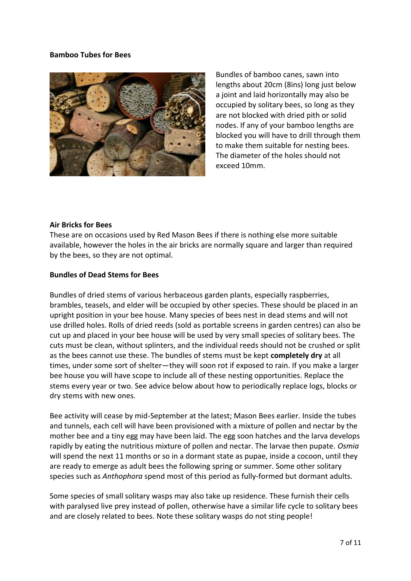# **Bamboo Tubes for Bees**



Bundles of bamboo canes, sawn into lengths about 20cm (8ins) long just below a joint and laid horizontally may also be occupied by solitary bees, so long as they are not blocked with dried pith or solid nodes. If any of your bamboo lengths are blocked you will have to drill through them to make them suitable for nesting bees. The diameter of the holes should not exceed 10mm.

# **Air Bricks for Bees**

These are on occasions used by Red Mason Bees if there is nothing else more suitable available, however the holes in the air bricks are normally square and larger than required by the bees, so they are not optimal.

#### **Bundles of Dead Stems for Bees**

Bundles of dried stems of various herbaceous garden plants, especially raspberries, brambles, teasels, and elder will be occupied by other species. These should be placed in an upright position in your bee house. Many species of bees nest in dead stems and will not use drilled holes. Rolls of dried reeds (sold as portable screens in garden centres) can also be cut up and placed in your bee house will be used by very small species of solitary bees. The cuts must be clean, without splinters, and the individual reeds should not be crushed or split as the bees cannot use these. The bundles of stems must be kept **completely dry** at all times, under some sort of shelter—they will soon rot if exposed to rain. If you make a larger bee house you will have scope to include all of these nesting opportunities. Replace the stems every year or two. See advice below about how to periodically replace logs, blocks or dry stems with new ones.

Bee activity will cease by mid-September at the latest; Mason Bees earlier. Inside the tubes and tunnels, each cell will have been provisioned with a mixture of pollen and nectar by the mother bee and a tiny egg may have been laid. The egg soon hatches and the larva develops rapidly by eating the nutritious mixture of pollen and nectar. The larvae then pupate. *Osmia* will spend the next 11 months or so in a dormant state as pupae, inside a cocoon, until they are ready to emerge as adult bees the following spring or summer. Some other solitary species such as *Anthophora* spend most of this period as fully-formed but dormant adults.

Some species of small solitary wasps may also take up residence. These furnish their cells with paralysed live prey instead of pollen, otherwise have a similar life cycle to solitary bees and are closely related to bees. Note these solitary wasps do not sting people!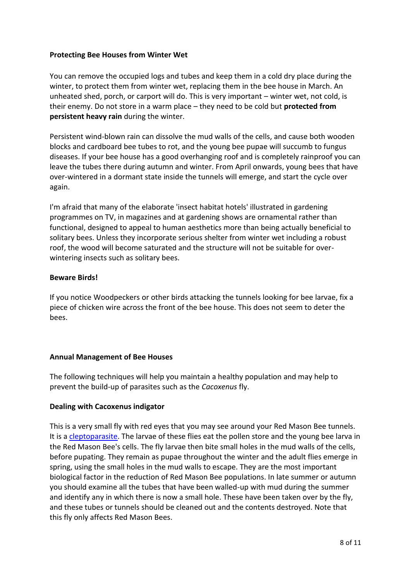# **Protecting Bee Houses from Winter Wet**

You can remove the occupied logs and tubes and keep them in a cold dry place during the winter, to protect them from winter wet, replacing them in the bee house in March. An unheated shed, porch, or carport will do. This is very important – winter wet, not cold, is their enemy. Do not store in a warm place – they need to be cold but **protected from persistent heavy rain** during the winter.

Persistent wind-blown rain can dissolve the mud walls of the cells, and cause both wooden blocks and cardboard bee tubes to rot, and the young bee pupae will succumb to fungus diseases. If your bee house has a good overhanging roof and is completely rainproof you can leave the tubes there during autumn and winter. From April onwards, young bees that have over-wintered in a dormant state inside the tunnels will emerge, and start the cycle over again.

I'm afraid that many of the elaborate 'insect habitat hotels' illustrated in gardening programmes on TV, in magazines and at gardening shows are ornamental rather than functional, designed to appeal to human aesthetics more than being actually beneficial to solitary bees. Unless they incorporate serious shelter from winter wet including a robust roof, the wood will become saturated and the structure will not be suitable for overwintering insects such as solitary bees.

# **Beware Birds!**

If you notice Woodpeckers or other birds attacking the tunnels looking for bee larvae, fix a piece of chicken wire across the front of the bee house. This does not seem to deter the bees.

# **Annual Management of Bee Houses**

The following techniques will help you maintain a healthy population and may help to prevent the build-up of parasites such as the *Cacoxenus* fly.

# **Dealing with Cacoxenus indigator**

This is a very small fly with red eyes that you may see around your Red Mason Bee tunnels. It is a [cleptoparasite.](https://en.wikipedia.org/wiki/Kleptoparasitism) The larvae of these flies eat the pollen store and the young bee larva in the Red Mason Bee's cells. The fly larvae then bite small holes in the mud walls of the cells, before pupating. They remain as pupae throughout the winter and the adult flies emerge in spring, using the small holes in the mud walls to escape. They are the most important biological factor in the reduction of Red Mason Bee populations. In late summer or autumn you should examine all the tubes that have been walled-up with mud during the summer and identify any in which there is now a small hole. These have been taken over by the fly, and these tubes or tunnels should be cleaned out and the contents destroyed. Note that this fly only affects Red Mason Bees.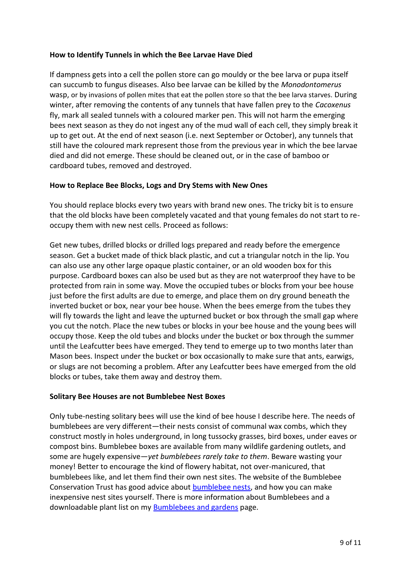# **How to Identify Tunnels in which the Bee Larvae Have Died**

If dampness gets into a cell the pollen store can go mouldy or the bee larva or pupa itself can succumb to fungus diseases. Also bee larvae can be killed by the *Monodontomerus* wasp, or by invasions of pollen mites that eat the pollen store so that the bee larva starves. During winter, after removing the contents of any tunnels that have fallen prey to the *Cacoxenus* fly, mark all sealed tunnels with a coloured marker pen. This will not harm the emerging bees next season as they do not ingest any of the mud wall of each cell, they simply break it up to get out. At the end of next season (i.e. next September or October), any tunnels that still have the coloured mark represent those from the previous year in which the bee larvae died and did not emerge. These should be cleaned out, or in the case of bamboo or cardboard tubes, removed and destroyed.

# **How to Replace Bee Blocks, Logs and Dry Stems with New Ones**

You should replace blocks every two years with brand new ones. The tricky bit is to ensure that the old blocks have been completely vacated and that young females do not start to reoccupy them with new nest cells. Proceed as follows:

Get new tubes, drilled blocks or drilled logs prepared and ready before the emergence season. Get a bucket made of thick black plastic, and cut a triangular notch in the lip. You can also use any other large opaque plastic container, or an old wooden box for this purpose. Cardboard boxes can also be used but as they are not waterproof they have to be protected from rain in some way. Move the occupied tubes or blocks from your bee house just before the first adults are due to emerge, and place them on dry ground beneath the inverted bucket or box, near your bee house. When the bees emerge from the tubes they will fly towards the light and leave the upturned bucket or box through the small gap where you cut the notch. Place the new tubes or blocks in your bee house and the young bees will occupy those. Keep the old tubes and blocks under the bucket or box through the summer until the Leafcutter bees have emerged. They tend to emerge up to two months later than Mason bees. Inspect under the bucket or box occasionally to make sure that ants, earwigs, or slugs are not becoming a problem. After any Leafcutter bees have emerged from the old blocks or tubes, take them away and destroy them.

# **Solitary Bee Houses are not Bumblebee Nest Boxes**

Only tube-nesting solitary bees will use the kind of bee house I describe here. The needs of bumblebees are very different—their nests consist of communal wax combs, which they construct mostly in holes underground, in long tussocky grasses, bird boxes, under eaves or compost bins. Bumblebee boxes are available from many wildlife gardening outlets, and some are hugely expensive—*yet bumblebees rarely take to them*. Beware wasting your money! Better to encourage the kind of flowery habitat, not over-manicured, that bumblebees like, and let them find their own nest sites. The website of the Bumblebee Conservation Trust has good advice about [bumblebee nests,](http://bumblebeeconservation.org/about-bees/habitats/bumblebee-nests) and how you can make inexpensive nest sites yourself. There is more information about Bumblebees and a downloadable plant list on my [Bumblebees and gardens](http://www.foxleas.com/bumblebees-and-gardens.asp) page.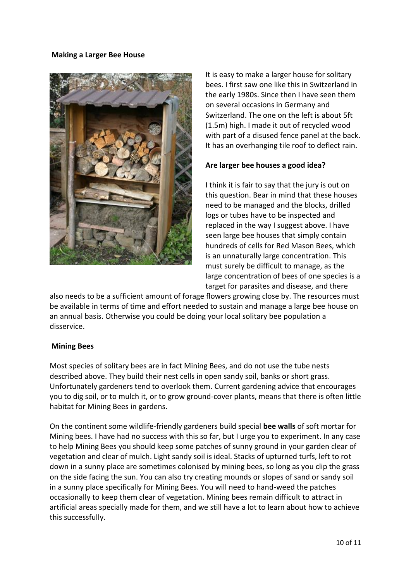#### **Making a Larger Bee House**



It is easy to make a larger house for solitary bees. I first saw one like this in Switzerland in the early 1980s. Since then I have seen them on several occasions in Germany and Switzerland. The one on the left is about 5ft (1.5m) high. I made it out of recycled wood with part of a disused fence panel at the back. It has an overhanging tile roof to deflect rain.

# **Are larger bee houses a good idea?**

I think it is fair to say that the jury is out on this question. Bear in mind that these houses need to be managed and the blocks, drilled logs or tubes have to be inspected and replaced in the way I suggest above. I have seen large bee houses that simply contain hundreds of cells for Red Mason Bees, which is an unnaturally large concentration. This must surely be difficult to manage, as the large concentration of bees of one species is a target for parasites and disease, and there

also needs to be a sufficient amount of forage flowers growing close by. The resources must be available in terms of time and effort needed to sustain and manage a large bee house on an annual basis. Otherwise you could be doing your local solitary bee population a disservice.

# **Mining Bees**

Most species of solitary bees are in fact Mining Bees, and do not use the tube nests described above. They build their nest cells in open sandy soil, banks or short grass. Unfortunately gardeners tend to overlook them. Current gardening advice that encourages you to dig soil, or to mulch it, or to grow ground-cover plants, means that there is often little habitat for Mining Bees in gardens.

On the continent some wildlife-friendly gardeners build special **bee walls** of soft mortar for Mining bees. I have had no success with this so far, but I urge you to experiment. In any case to help Mining Bees you should keep some patches of sunny ground in your garden clear of vegetation and clear of mulch. Light sandy soil is ideal. Stacks of upturned turfs, left to rot down in a sunny place are sometimes colonised by mining bees, so long as you clip the grass on the side facing the sun. You can also try creating mounds or slopes of sand or sandy soil in a sunny place specifically for Mining Bees. You will need to hand-weed the patches occasionally to keep them clear of vegetation. Mining bees remain difficult to attract in artificial areas specially made for them, and we still have a lot to learn about how to achieve this successfully.